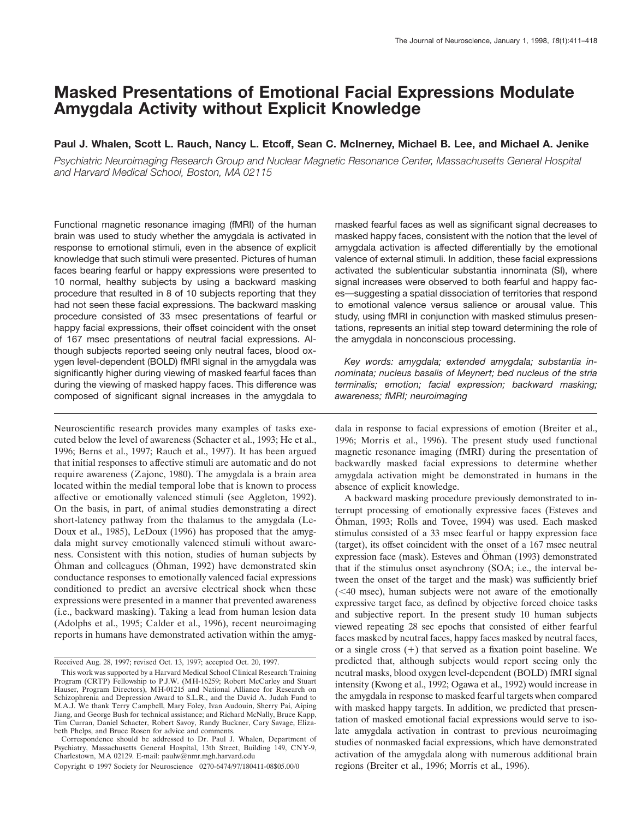# **Masked Presentations of Emotional Facial Expressions Modulate Amygdala Activity without Explicit Knowledge**

# **Paul J. Whalen, Scott L. Rauch, Nancy L. Etcoff, Sean C. McInerney, Michael B. Lee, and Michael A. Jenike**

*Psychiatric Neuroimaging Research Group and Nuclear Magnetic Resonance Center, Massachusetts General Hospital and Harvard Medical School, Boston, MA 02115*

Functional magnetic resonance imaging (fMRI) of the human brain was used to study whether the amygdala is activated in response to emotional stimuli, even in the absence of explicit knowledge that such stimuli were presented. Pictures of human faces bearing fearful or happy expressions were presented to 10 normal, healthy subjects by using a backward masking procedure that resulted in 8 of 10 subjects reporting that they had not seen these facial expressions. The backward masking procedure consisted of 33 msec presentations of fearful or happy facial expressions, their offset coincident with the onset of 167 msec presentations of neutral facial expressions. Although subjects reported seeing only neutral faces, blood oxygen level-dependent (BOLD) fMRI signal in the amygdala was significantly higher during viewing of masked fearful faces than during the viewing of masked happy faces. This difference was composed of significant signal increases in the amygdala to

Neuroscientific research provides many examples of tasks executed below the level of awareness (Schacter et al., 1993; He et al., 1996; Berns et al., 1997; Rauch et al., 1997). It has been argued that initial responses to affective stimuli are automatic and do not require awareness (Zajonc, 1980). The amygdala is a brain area located within the medial temporal lobe that is known to process affective or emotionally valenced stimuli (see Aggleton, 1992). On the basis, in part, of animal studies demonstrating a direct short-latency pathway from the thalamus to the amygdala (Le-Doux et al., 1985), LeDoux (1996) has proposed that the amygdala might survey emotionally valenced stimuli without awareness. Consistent with this notion, studies of human subjects by Ohman and colleagues (Ohman, 1992) have demonstrated skin conductance responses to emotionally valenced facial expressions conditioned to predict an aversive electrical shock when these expressions were presented in a manner that prevented awareness (i.e., backward masking). Taking a lead from human lesion data (Adolphs et al., 1995; Calder et al., 1996), recent neuroimaging reports in humans have demonstrated activation within the amygmasked fearful faces as well as significant signal decreases to masked happy faces, consistent with the notion that the level of amygdala activation is affected differentially by the emotional valence of external stimuli. In addition, these facial expressions activated the sublenticular substantia innominata (SI), where signal increases were observed to both fearful and happy faces—suggesting a spatial dissociation of territories that respond to emotional valence versus salience or arousal value. This study, using fMRI in conjunction with masked stimulus presentations, represents an initial step toward determining the role of the amygdala in nonconscious processing.

*Key words: amygdala; extended amygdala; substantia innominata; nucleus basalis of Meynert; bed nucleus of the stria terminalis; emotion; facial expression; backward masking; awareness; fMRI; neuroimaging*

dala in response to facial expressions of emotion (Breiter et al., 1996; Morris et al., 1996). The present study used functional magnetic resonance imaging (fMRI) during the presentation of backwardly masked facial expressions to determine whether amygdala activation might be demonstrated in humans in the absence of explicit knowledge.

A backward masking procedure previously demonstrated to interrupt processing of emotionally expressive faces (Esteves and Öhman, 1993; Rolls and Tovee, 1994) was used. Each masked stimulus consisted of a 33 msec fearful or happy expression face (target), its offset coincident with the onset of a 167 msec neutral expression face (mask). Esteves and Öhman (1993) demonstrated that if the stimulus onset asynchrony (SOA; i.e., the interval between the onset of the target and the mask) was sufficiently brief  $( $40$  msec), human subjects were not aware of the emotionally$ expressive target face, as defined by objective forced choice tasks and subjective report. In the present study 10 human subjects viewed repeating 28 sec epochs that consisted of either fearful faces masked by neutral faces, happy faces masked by neutral faces, or a single cross  $(+)$  that served as a fixation point baseline. We predicted that, although subjects would report seeing only the neutral masks, blood oxygen level-dependent (BOLD) fMRI signal intensity (Kwong et al., 1992; Ogawa et al., 1992) would increase in the amygdala in response to masked fearful targets when compared with masked happy targets. In addition, we predicted that presentation of masked emotional facial expressions would serve to isolate amygdala activation in contrast to previous neuroimaging studies of nonmasked facial expressions, which have demonstrated activation of the amygdala along with numerous additional brain regions (Breiter et al., 1996; Morris et al., 1996).

Received Aug. 28, 1997; revised Oct. 13, 1997; accepted Oct. 20, 1997.

This work was supported by a Harvard Medical School Clinical Research Training Program (CRTP) Fellowship to P.J.W. (MH-16259; Robert McCarley and Stuart Hauser, Program Directors), MH-01215 and National Alliance for Research on Schizophrenia and Depression Award to S.L.R., and the David A. Judah Fund to M.A.J. We thank Terry Campbell, Mary Foley, Ivan Audouin, Sherry Pai, Aiping Jiang, and George Bush for technical assistance; and Richard McNally, Bruce Kapp, Tim Curran, Daniel Schacter, Robert Savoy, Randy Buckner, Cary Savage, Elizabeth Phelps, and Bruce Rosen for advice and comments.

Correspondence should be addressed to Dr. Paul J. Whalen, Department of Psychiatry, Massachusetts General Hospital, 13th Street, Building 149, CNY-9, Charlestown, MA 02129. E-mail: paulw@nmr.mgh.harvard.edu

Copyright © 1997 Society for Neuroscience 0270-6474/97/180411-08\$05.00/0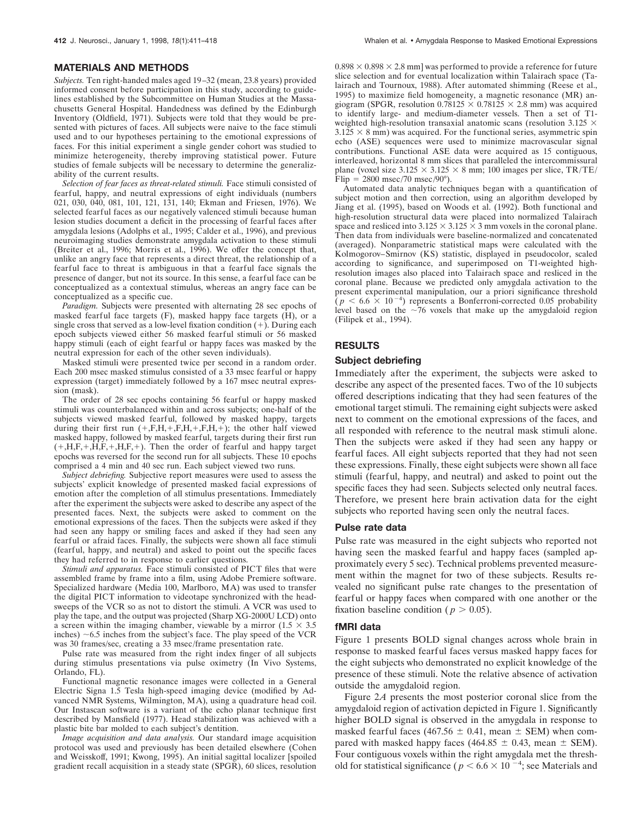#### **MATERIALS AND METHODS**

*Subjects.* Ten right-handed males aged 19–32 (mean, 23.8 years) provided informed consent before participation in this study, according to guidelines established by the Subcommittee on Human Studies at the Massachusetts General Hospital. Handedness was defined by the Edinburgh Inventory (Oldfield, 1971). Subjects were told that they would be presented with pictures of faces. All subjects were naive to the face stimuli used and to our hypotheses pertaining to the emotional expressions of faces. For this initial experiment a single gender cohort was studied to minimize heterogeneity, thereby improving statistical power. Future studies of female subjects will be necessary to determine the generalizability of the current results.

*Selection of fear faces as threat-related stimuli.* Face stimuli consisted of fearful, happy, and neutral expressions of eight individuals (numbers 021, 030, 040, 081, 101, 121, 131, 140; Ekman and Friesen, 1976). We selected fearful faces as our negatively valenced stimuli because human lesion studies document a deficit in the processing of fearful faces after amygdala lesions (Adolphs et al., 1995; Calder et al., 1996), and previous neuroimaging studies demonstrate amygdala activation to these stimuli (Breiter et al., 1996; Morris et al., 1996). We offer the concept that, unlike an angry face that represents a direct threat, the relationship of a fearful face to threat is ambiguous in that a fearful face signals the presence of danger, but not its source. In this sense, a fearful face can be conceptualized as a contextual stimulus, whereas an angry face can be conceptualized as a specific cue.

*Paradigm.* Subjects were presented with alternating 28 sec epochs of masked fearful face targets (F), masked happy face targets (H), or a single cross that served as a low-level fixation condition  $(+)$ . During each epoch subjects viewed either 56 masked fearful stimuli or 56 masked happy stimuli (each of eight fearful or happy faces was masked by the neutral expression for each of the other seven individuals).

Masked stimuli were presented twice per second in a random order. Each 200 msec masked stimulus consisted of a 33 msec fearful or happy expression (target) immediately followed by a 167 msec neutral expression (mask).

The order of 28 sec epochs containing 56 fearful or happy masked stimuli was counterbalanced within and across subjects; one-half of the subjects viewed masked fearful, followed by masked happy, targets during their first run  $(+, F, H, +, F, H, +, F, H, +)$ ; the other half viewed masked happy, followed by masked fearful, targets during their first run  $(+,H,F,+,\overline{H},F,+,\overline{H},F,+).$  Then the order of fearful and happy target epochs was reversed for the second run for all subjects. These 10 epochs comprised a 4 min and 40 sec run. Each subject viewed two runs.

*Subject debriefing.* Subjective report measures were used to assess the subjects' explicit knowledge of presented masked facial expressions of emotion after the completion of all stimulus presentations. Immediately after the experiment the subjects were asked to describe any aspect of the presented faces. Next, the subjects were asked to comment on the emotional expressions of the faces. Then the subjects were asked if they had seen any happy or smiling faces and asked if they had seen any fearful or afraid faces. Finally, the subjects were shown all face stimuli (fearful, happy, and neutral) and asked to point out the specific faces they had referred to in response to earlier questions.

*Stimuli and apparatus.* Face stimuli consisted of PICT files that were assembled frame by frame into a film, using Adobe Premiere software. Specialized hardware (Media 100, Marlboro, MA) was used to transfer the digital PICT information to videotape synchronized with the headsweeps of the VCR so as not to distort the stimuli. A VCR was used to play the tape, and the output was projected (Sharp XG-2000U LCD) onto a screen within the imaging chamber, viewable by a mirror  $(1.5 \times 3.5)$ inches)  $\sim$  6.5 inches from the subject's face. The play speed of the VCR was 30 frames/sec, creating a 33 msec/frame presentation rate.

Pulse rate was measured from the right index finger of all subjects during stimulus presentations via pulse oximetry (In Vivo Systems, Orlando, FL).

Functional magnetic resonance images were collected in a General Electric Signa 1.5 Tesla high-speed imaging device (modified by Advanced NMR Systems, Wilmington, MA), using a quadrature head coil. Our Instascan software is a variant of the echo planar technique first described by Mansfield (1977). Head stabilization was achieved with a plastic bite bar molded to each subject's dentition.

*Image acquisition and data analysis.* Our standard image acquisition protocol was used and previously has been detailed elsewhere (Cohen and Weisskoff, 1991; Kwong, 1995). An initial sagittal localizer [spoiled gradient recall acquisition in a steady state (SPGR), 60 slices, resolution  $0.898 \times 0.898 \times 2.8$  mm] was performed to provide a reference for future slice selection and for eventual localization within Talairach space (Talairach and Tournoux, 1988). After automated shimming (Reese et al., 1995) to maximize field homogeneity, a magnetic resonance (MR) angiogram (SPGR, resolution  $0.78125 \times 0.78125 \times 2.8$  mm) was acquired to identify large- and medium-diameter vessels. Then a set of T1 weighted high-resolution transaxial anatomic scans (resolution 3.125  $\times$  $3.125 \times 8$  mm) was acquired. For the functional series, asymmetric spin echo (ASE) sequences were used to minimize macrovascular signal contributions. Functional ASE data were acquired as 15 contiguous, interleaved, horizontal 8 mm slices that paralleled the intercommissural plane (voxel size  $3.125 \times 3.125 \times 8$  mm; 100 images per slice, TR/TE/ Flip =  $2800$  msec/70 msec/90°).

Automated data analytic techniques began with a quantification of subject motion and then correction, using an algorithm developed by Jiang et al. (1995), based on Woods et al. (1992). Both functional and high-resolution structural data were placed into normalized Talairach space and resliced into  $3.125 \times 3.125 \times 3$  mm voxels in the coronal plane. Then data from individuals were baseline-normalized and concatenated (averaged). Nonparametric statistical maps were calculated with the Kolmogorov–Smirnov (KS) statistic, displayed in pseudocolor, scaled according to significance, and superimposed on T1-weighted highresolution images also placed into Talairach space and resliced in the coronal plane. Because we predicted only amygdala activation to the present experimental manipulation, our a priori significance threshold  $(p < 6.6 \times 10^{-4})$  represents a Bonferroni-corrected 0.05 probability level based on the  $\sim$ 76 voxels that make up the amygdaloid region (Filipek et al., 1994).

### **RESULTS**

## **Subject debriefing**

Immediately after the experiment, the subjects were asked to describe any aspect of the presented faces. Two of the 10 subjects offered descriptions indicating that they had seen features of the emotional target stimuli. The remaining eight subjects were asked next to comment on the emotional expressions of the faces, and all responded with reference to the neutral mask stimuli alone. Then the subjects were asked if they had seen any happy or fearful faces. All eight subjects reported that they had not seen these expressions. Finally, these eight subjects were shown all face stimuli (fearful, happy, and neutral) and asked to point out the specific faces they had seen. Subjects selected only neutral faces. Therefore, we present here brain activation data for the eight subjects who reported having seen only the neutral faces.

#### **Pulse rate data**

Pulse rate was measured in the eight subjects who reported not having seen the masked fearful and happy faces (sampled approximately every 5 sec). Technical problems prevented measurement within the magnet for two of these subjects. Results revealed no significant pulse rate changes to the presentation of fearful or happy faces when compared with one another or the fixation baseline condition ( $p > 0.05$ ).

#### **fMRI data**

Figure 1 presents BOLD signal changes across whole brain in response to masked fearful faces versus masked happy faces for the eight subjects who demonstrated no explicit knowledge of the presence of these stimuli. Note the relative absence of activation outside the amygdaloid region.

Figure 2*A* presents the most posterior coronal slice from the amygdaloid region of activation depicted in Figure 1. Significantly higher BOLD signal is observed in the amygdala in response to masked fearful faces (467.56  $\pm$  0.41, mean  $\pm$  SEM) when compared with masked happy faces (464.85  $\pm$  0.43, mean  $\pm$  SEM). Four contiguous voxels within the right amygdala met the threshold for statistical significance ( $p < 6.6 \times 10^{-4}$ ; see Materials and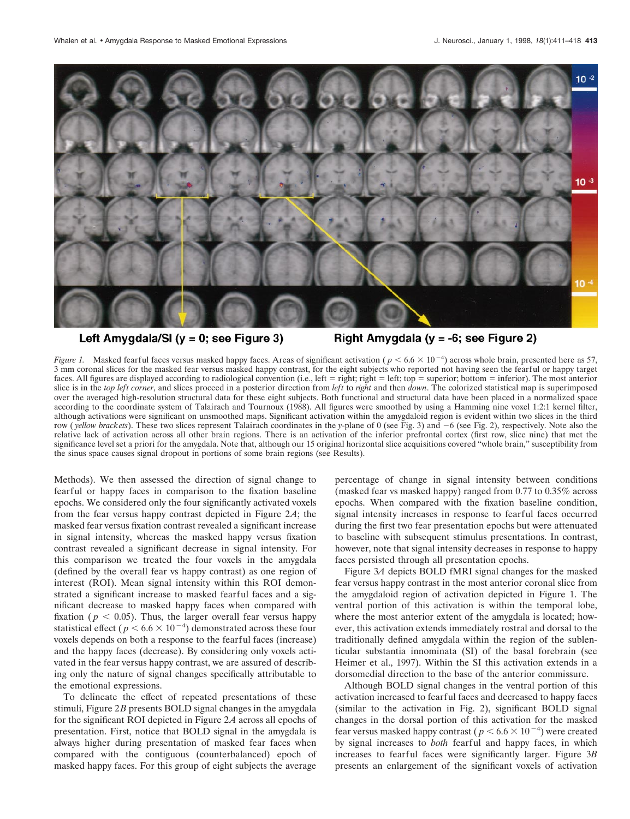

# Left Amygdala/SI ( $y = 0$ ; see Figure 3)

Right Amygdala ( $y = -6$ ; see Figure 2)

*Figure 1.* Masked fearful faces versus masked happy faces. Areas of significant activation ( $p < 6.6 \times 10^{-4}$ ) across whole brain, presented here as 57, 3 mm coronal slices for the masked fear versus masked happy contrast, for the eight subjects who reported not having seen the fearful or happy target faces. All figures are displayed according to radiological convention (i.e., left = right; right = left; top = superior; bottom = inferior). The most anterior slice is in the *top left corner*, and slices proceed in a posterior direction from *left* to *right* and then *down*. The colorized statistical map is superimposed over the averaged high-resolution structural data for these eight subjects. Both functional and structural data have been placed in a normalized space according to the coordinate system of Talairach and Tournoux (1988). All figures were smoothed by using a Hamming nine voxel 1:2:1 kernel filter, although activations were significant on unsmoothed maps. Significant activation within the amygdaloid region is evident within two slices in the third row (*yellow brackets*). These two slices represent Talairach coordinates in the *y*-plane of 0 (see Fig. 3) and  $-6$  (see Fig. 2), respectively. Note also the relative lack of activation across all other brain regions. There is an activation of the inferior prefrontal cortex (first row, slice nine) that met the significance level set a priori for the amygdala. Note that, although our 15 original horizontal slice acquisitions covered "whole brain," susceptibility from the sinus space causes signal dropout in portions of some brain regions (see Results).

Methods). We then assessed the direction of signal change to fearful or happy faces in comparison to the fixation baseline epochs. We considered only the four significantly activated voxels from the fear versus happy contrast depicted in Figure 2*A*; the masked fear versus fixation contrast revealed a significant increase in signal intensity, whereas the masked happy versus fixation contrast revealed a significant decrease in signal intensity. For this comparison we treated the four voxels in the amygdala (defined by the overall fear vs happy contrast) as one region of interest (ROI). Mean signal intensity within this ROI demonstrated a significant increase to masked fearful faces and a significant decrease to masked happy faces when compared with fixation ( $p < 0.05$ ). Thus, the larger overall fear versus happy statistical effect ( $p < 6.6 \times 10^{-4}$ ) demonstrated across these four voxels depends on both a response to the fearful faces (increase) and the happy faces (decrease). By considering only voxels activated in the fear versus happy contrast, we are assured of describing only the nature of signal changes specifically attributable to the emotional expressions.

To delineate the effect of repeated presentations of these stimuli, Figure 2*B* presents BOLD signal changes in the amygdala for the significant ROI depicted in Figure 2*A* across all epochs of presentation. First, notice that BOLD signal in the amygdala is always higher during presentation of masked fear faces when compared with the contiguous (counterbalanced) epoch of masked happy faces. For this group of eight subjects the average

percentage of change in signal intensity between conditions (masked fear vs masked happy) ranged from 0.77 to 0.35% across epochs. When compared with the fixation baseline condition, signal intensity increases in response to fearful faces occurred during the first two fear presentation epochs but were attenuated to baseline with subsequent stimulus presentations. In contrast, however, note that signal intensity decreases in response to happy faces persisted through all presentation epochs.

Figure 3*A* depicts BOLD fMRI signal changes for the masked fear versus happy contrast in the most anterior coronal slice from the amygdaloid region of activation depicted in Figure 1. The ventral portion of this activation is within the temporal lobe, where the most anterior extent of the amygdala is located; however, this activation extends immediately rostral and dorsal to the traditionally defined amygdala within the region of the sublenticular substantia innominata (SI) of the basal forebrain (see Heimer et al., 1997). Within the SI this activation extends in a dorsomedial direction to the base of the anterior commissure.

Although BOLD signal changes in the ventral portion of this activation increased to fearful faces and decreased to happy faces (similar to the activation in Fig. 2), significant BOLD signal changes in the dorsal portion of this activation for the masked fear versus masked happy contrast ( $p < 6.6 \times 10^{-4}$ ) were created by signal increases to *both* fearful and happy faces, in which increases to fearful faces were significantly larger. Figure 3*B* presents an enlargement of the significant voxels of activation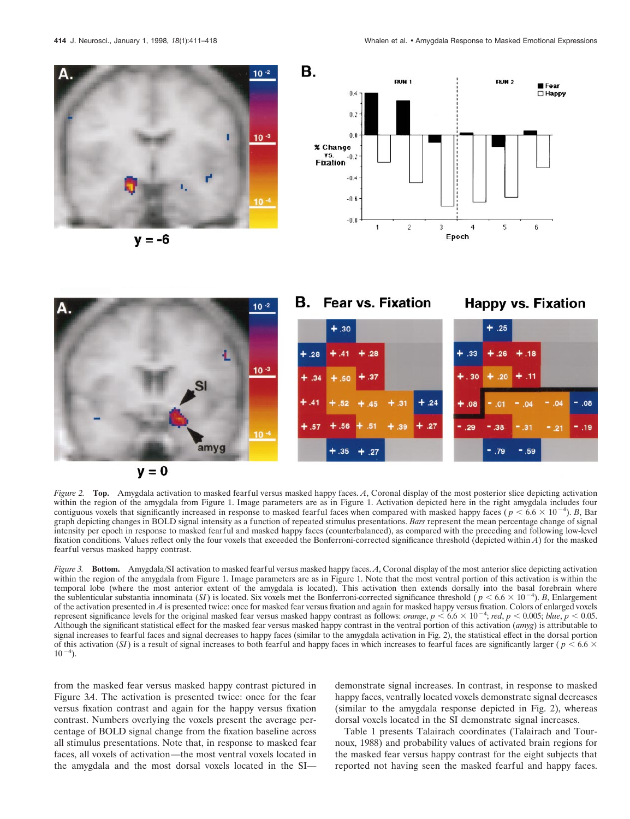![](_page_3_Picture_2.jpeg)

 $v = -6$ 

![](_page_3_Figure_4.jpeg)

![](_page_3_Figure_5.jpeg)

*Figure 2.* **Top.** Amygdala activation to masked fearful versus masked happy faces. *A*, Coronal display of the most posterior slice depicting activation within the region of the amygdala from Figure 1. Image parameters are as in Figure 1. Activation depicted here in the right amygdala includes four contiguous voxels that significantly increased in response to masked fearful faces when compared with masked happy faces ( $p < 6.6 \times 10^{-4}$ ). *B*, Bar graph depicting changes in BOLD signal intensity as a function of repeated stimulus presentations. *Bars* represent the mean percentage change of signal intensity per epoch in response to masked fearful and masked happy faces (counterbalanced), as compared with the preceding and following low-level fixation conditions. Values reflect only the four voxels that exceeded the Bonferroni-corrected significance threshold (depicted within *A*) for the masked fearful versus masked happy contrast.

*Figure 3.* **Bottom.** Amygdala/SI activation to masked fearful versus masked happy faces. *A*, Coronal display of the most anterior slice depicting activation within the region of the amygdala from Figure 1. Image parameters are as in Figure 1. Note that the most ventral portion of this activation is within the temporal lobe (where the most anterior extent of the amygdala is located). This activation then extends dorsally into the basal forebrain where the sublenticular substantia innominata (*SI*) is located. Six voxels met the Bonferroni-corrected significance threshold ( $p < 6.6 \times 10^{-4}$ ). *B*, Enlargement of the activation presented in *A* is presented twice: once for masked fear versus fixation and again for masked happy versus fixation. Colors of enlarged voxels represent significance levels for the original masked fear versus masked happy contrast as follows: *orange*,  $p < 6.6 \times 10^{-4}$ ; *red*,  $p < 0.005$ ; *blue*,  $p < 0.05$ . Although the significant statistical effect for the masked fear versus masked happy contrast in the ventral portion of this activation (*amyg*) is attributable to signal increases to fearful faces and signal decreases to happy faces (similar to the amygdala activation in Fig. 2), the statistical effect in the dorsal portion of this activation (*SI*) is a result of signal increases to both fearful and happy faces in which increases to fearful faces are significantly larger ( $p < 6.6 \times$  $10^{-4}$ ).

from the masked fear versus masked happy contrast pictured in Figure 3*A*. The activation is presented twice: once for the fear versus fixation contrast and again for the happy versus fixation contrast. Numbers overlying the voxels present the average percentage of BOLD signal change from the fixation baseline across all stimulus presentations. Note that, in response to masked fear faces, all voxels of activation—the most ventral voxels located in the amygdala and the most dorsal voxels located in the SI—

demonstrate signal increases. In contrast, in response to masked happy faces, ventrally located voxels demonstrate signal decreases (similar to the amygdala response depicted in Fig. 2), whereas dorsal voxels located in the SI demonstrate signal increases.

Table 1 presents Talairach coordinates (Talairach and Tournoux, 1988) and probability values of activated brain regions for the masked fear versus happy contrast for the eight subjects that reported not having seen the masked fearful and happy faces.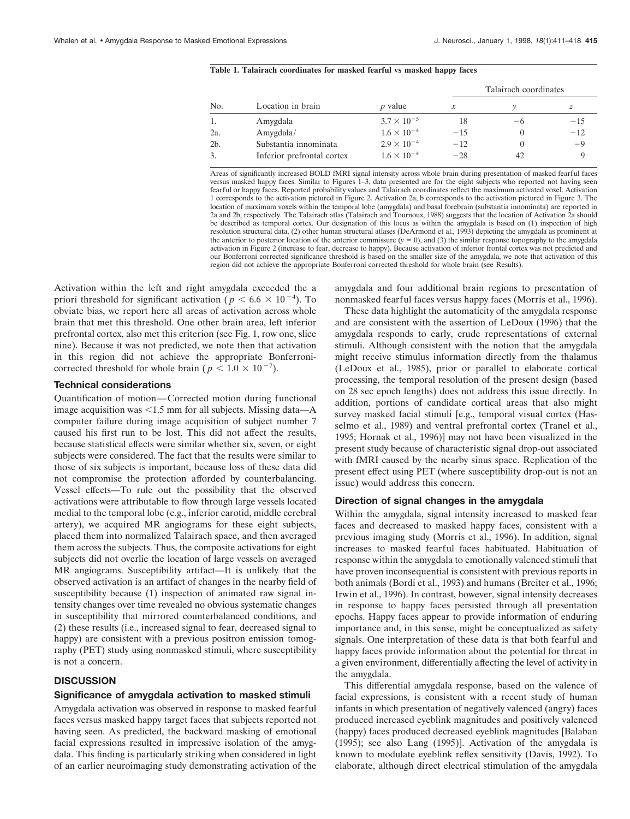### **Table 1. Talairach coordinates for masked fearful vs masked happy faces**

|                |                            |                      | Talairach coordinates |          |       |
|----------------|----------------------------|----------------------|-----------------------|----------|-------|
| No.            | Location in brain          | <i>p</i> value       |                       |          | z     |
|                | Amygdala                   | $3.7 \times 10^{-5}$ | 18                    | -6       | $-15$ |
| 2a.            | Amygdala/                  | $1.6 \times 10^{-4}$ | $-15$                 | $\theta$ | $-12$ |
| 2 <sub>b</sub> | Substantia innominata      | $2.9 \times 10^{-4}$ | $-12$                 | $\theta$ | -9    |
|                | Inferior prefrontal cortex | $1.6 \times 10^{-4}$ | $-28$                 | 42       |       |

Areas of significantly increased BOLD fMRI signal intensity across whole brain during presentation of masked fearful faces versus masked happy faces. Similar to Figures 1–3, data presented are for the eight subjects who reported not having seen fearful or happy faces. Reported probability values and Talairach coordinates reflect the maximum activated voxel. Activation 1 corresponds to the activation pictured in Figure 2. Activation 2a, b corresponds to the activation pictured in Figure 3. The location of maximum voxels within the temporal lobe (amygdala) and basal forebrain (substantia innominata) are reported in 2a and 2b, respectively. The Talairach atlas (Talairach and Tournoux, 1988) suggests that the location of Activation 2a should be described as temporal cortex. Our designation of this locus as within the amygdala is based on (1) inspection of high resolution structural data, (2) other human structural atlases (DeArmond et al., 1993) depicting the amygdala as prominent at the anterior to posterior location of the anterior commissure  $(y = 0)$ , and (3) the similar response topography to the amygdala activation in Figure 2 (increase to fear, decrease to happy). Because activation of inferior frontal cortex was not predicted and our Bonferroni corrected significance threshold is based on the smaller size of the amygdala, we note that activation of this region did not achieve the appropriate Bonferroni corrected threshold for whole brain (see Results).

Activation within the left and right amygdala exceeded the a priori threshold for significant activation ( $p < 6.6 \times 10^{-4}$ ). To obviate bias, we report here all areas of activation across whole brain that met this threshold. One other brain area, left inferior prefrontal cortex, also met this criterion (see Fig. 1, row one, slice nine). Because it was not predicted, we note then that activation in this region did not achieve the appropriate Bonferronicorrected threshold for whole brain ( $p < 1.0 \times 10^{-7}$ ).

## **Technical considerations**

Quantification of motion—Corrected motion during functional image acquisition was  $\leq 1.5$  mm for all subjects. Missing data—A computer failure during image acquisition of subject number 7 caused his first run to be lost. This did not affect the results, because statistical effects were similar whether six, seven, or eight subjects were considered. The fact that the results were similar to those of six subjects is important, because loss of these data did not compromise the protection afforded by counterbalancing. Vessel effects—To rule out the possibility that the observed activations were attributable to flow through large vessels located medial to the temporal lobe (e.g., inferior carotid, middle cerebral artery), we acquired MR angiograms for these eight subjects, placed them into normalized Talairach space, and then averaged them across the subjects. Thus, the composite activations for eight subjects did not overlie the location of large vessels on averaged MR angiograms. Susceptibility artifact—It is unlikely that the observed activation is an artifact of changes in the nearby field of susceptibility because (1) inspection of animated raw signal intensity changes over time revealed no obvious systematic changes in susceptibility that mirrored counterbalanced conditions, and (2) these results (i.e., increased signal to fear, decreased signal to happy) are consistent with a previous positron emission tomography (PET) study using nonmasked stimuli, where susceptibility is not a concern.

# **DISCUSSION**

#### **Significance of amygdala activation to masked stimuli**

Amygdala activation was observed in response to masked fearful faces versus masked happy target faces that subjects reported not having seen. As predicted, the backward masking of emotional facial expressions resulted in impressive isolation of the amygdala. This finding is particularly striking when considered in light of an earlier neuroimaging study demonstrating activation of the

amygdala and four additional brain regions to presentation of nonmasked fearful faces versus happy faces (Morris et al., 1996).

These data highlight the automaticity of the amygdala response and are consistent with the assertion of LeDoux (1996) that the amygdala responds to early, crude representations of external stimuli. Although consistent with the notion that the amygdala might receive stimulus information directly from the thalamus (LeDoux et al., 1985), prior or parallel to elaborate cortical processing, the temporal resolution of the present design (based on 28 sec epoch lengths) does not address this issue directly. In addition, portions of candidate cortical areas that also might survey masked facial stimuli [e.g., temporal visual cortex (Hasselmo et al., 1989) and ventral prefrontal cortex (Tranel et al., 1995; Hornak et al., 1996)] may not have been visualized in the present study because of characteristic signal drop-out associated with fMRI caused by the nearby sinus space. Replication of the present effect using PET (where susceptibility drop-out is not an issue) would address this concern.

#### **Direction of signal changes in the amygdala**

Within the amygdala, signal intensity increased to masked fear faces and decreased to masked happy faces, consistent with a previous imaging study (Morris et al., 1996). In addition, signal increases to masked fearful faces habituated. Habituation of response within the amygdala to emotionally valenced stimuli that have proven inconsequential is consistent with previous reports in both animals (Bordi et al., 1993) and humans (Breiter et al., 1996; Irwin et al., 1996). In contrast, however, signal intensity decreases in response to happy faces persisted through all presentation epochs. Happy faces appear to provide information of enduring importance and, in this sense, might be conceptualized as safety signals. One interpretation of these data is that both fearful and happy faces provide information about the potential for threat in a given environment, differentially affecting the level of activity in the amygdala.

This differential amygdala response, based on the valence of facial expressions, is consistent with a recent study of human infants in which presentation of negatively valenced (angry) faces produced increased eyeblink magnitudes and positively valenced (happy) faces produced decreased eyeblink magnitudes [Balaban (1995); see also Lang (1995)]. Activation of the amygdala is known to modulate eyeblink reflex sensitivity (Davis, 1992). To elaborate, although direct electrical stimulation of the amygdala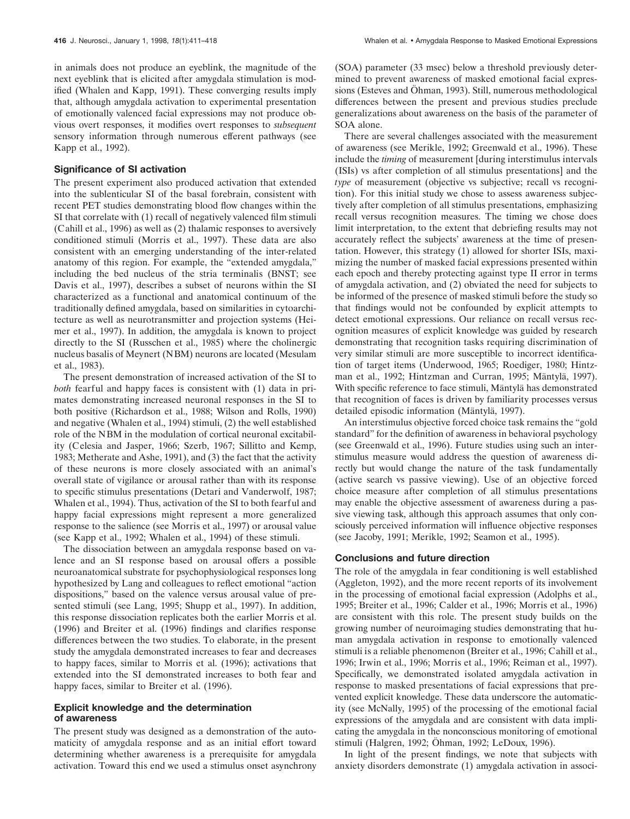in animals does not produce an eyeblink, the magnitude of the next eyeblink that is elicited after amygdala stimulation is modified (Whalen and Kapp, 1991). These converging results imply that, although amygdala activation to experimental presentation of emotionally valenced facial expressions may not produce obvious overt responses, it modifies overt responses to *subsequent* sensory information through numerous efferent pathways (see Kapp et al., 1992).

## **Significance of SI activation**

The present experiment also produced activation that extended into the sublenticular SI of the basal forebrain, consistent with recent PET studies demonstrating blood flow changes within the SI that correlate with (1) recall of negatively valenced film stimuli (Cahill et al., 1996) as well as (2) thalamic responses to aversively conditioned stimuli (Morris et al., 1997). These data are also consistent with an emerging understanding of the inter-related anatomy of this region. For example, the "extended amygdala," including the bed nucleus of the stria terminalis (BNST; see Davis et al., 1997), describes a subset of neurons within the SI characterized as a functional and anatomical continuum of the traditionally defined amygdala, based on similarities in cytoarchitecture as well as neurotransmitter and projection systems (Heimer et al., 1997). In addition, the amygdala is known to project directly to the SI (Russchen et al., 1985) where the cholinergic nucleus basalis of Meynert (NBM) neurons are located (Mesulam et al., 1983).

The present demonstration of increased activation of the SI to *both* fearful and happy faces is consistent with (1) data in primates demonstrating increased neuronal responses in the SI to both positive (Richardson et al., 1988; Wilson and Rolls, 1990) and negative (Whalen et al., 1994) stimuli, (2) the well established role of the NBM in the modulation of cortical neuronal excitability (Celesia and Jasper, 1966; Szerb, 1967; Sillitto and Kemp, 1983; Metherate and Ashe, 1991), and (3) the fact that the activity of these neurons is more closely associated with an animal's overall state of vigilance or arousal rather than with its response to specific stimulus presentations (Detari and Vanderwolf, 1987; Whalen et al., 1994). Thus, activation of the SI to both fearful and happy facial expressions might represent a more generalized response to the salience (see Morris et al., 1997) or arousal value (see Kapp et al., 1992; Whalen et al., 1994) of these stimuli.

The dissociation between an amygdala response based on valence and an SI response based on arousal offers a possible neuroanatomical substrate for psychophysiological responses long hypothesized by Lang and colleagues to reflect emotional "action dispositions," based on the valence versus arousal value of presented stimuli (see Lang, 1995; Shupp et al., 1997). In addition, this response dissociation replicates both the earlier Morris et al. (1996) and Breiter et al. (1996) findings and clarifies response differences between the two studies. To elaborate, in the present study the amygdala demonstrated increases to fear and decreases to happy faces, similar to Morris et al. (1996); activations that extended into the SI demonstrated increases to both fear and happy faces, similar to Breiter et al. (1996).

### **Explicit knowledge and the determination of awareness**

The present study was designed as a demonstration of the automaticity of amygdala response and as an initial effort toward determining whether awareness is a prerequisite for amygdala activation. Toward this end we used a stimulus onset asynchrony

(SOA) parameter (33 msec) below a threshold previously determined to prevent awareness of masked emotional facial expressions (Esteves and Öhman, 1993). Still, numerous methodological differences between the present and previous studies preclude generalizations about awareness on the basis of the parameter of SOA alone.

There are several challenges associated with the measurement of awareness (see Merikle, 1992; Greenwald et al., 1996). These include the *timing* of measurement [during interstimulus intervals (ISIs) vs after completion of all stimulus presentations] and the *type* of measurement (objective vs subjective; recall vs recognition). For this initial study we chose to assess awareness subjectively after completion of all stimulus presentations, emphasizing recall versus recognition measures. The timing we chose does limit interpretation, to the extent that debriefing results may not accurately reflect the subjects' awareness at the time of presentation. However, this strategy (1) allowed for shorter ISIs, maximizing the number of masked facial expressions presented within each epoch and thereby protecting against type II error in terms of amygdala activation, and (2) obviated the need for subjects to be informed of the presence of masked stimuli before the study so that findings would not be confounded by explicit attempts to detect emotional expressions. Our reliance on recall versus recognition measures of explicit knowledge was guided by research demonstrating that recognition tasks requiring discrimination of very similar stimuli are more susceptible to incorrect identification of target items (Underwood, 1965; Roediger, 1980; Hintzman et al., 1992; Hintzman and Curran, 1995; Mäntylä, 1997). With specific reference to face stimuli, Mäntylä has demonstrated that recognition of faces is driven by familiarity processes versus detailed episodic information (Mäntylä, 1997).

An interstimulus objective forced choice task remains the "gold standard" for the definition of awareness in behavioral psychology (see Greenwald et al., 1996). Future studies using such an interstimulus measure would address the question of awareness directly but would change the nature of the task fundamentally (active search vs passive viewing). Use of an objective forced choice measure after completion of all stimulus presentations may enable the objective assessment of awareness during a passive viewing task, although this approach assumes that only consciously perceived information will influence objective responses (see Jacoby, 1991; Merikle, 1992; Seamon et al., 1995).

#### **Conclusions and future direction**

The role of the amygdala in fear conditioning is well established (Aggleton, 1992), and the more recent reports of its involvement in the processing of emotional facial expression (Adolphs et al., 1995; Breiter et al., 1996; Calder et al., 1996; Morris et al., 1996) are consistent with this role. The present study builds on the growing number of neuroimaging studies demonstrating that human amygdala activation in response to emotionally valenced stimuli is a reliable phenomenon (Breiter et al., 1996; Cahill et al., 1996; Irwin et al., 1996; Morris et al., 1996; Reiman et al., 1997). Specifically, we demonstrated isolated amygdala activation in response to masked presentations of facial expressions that prevented explicit knowledge. These data underscore the automaticity (see McNally, 1995) of the processing of the emotional facial expressions of the amygdala and are consistent with data implicating the amygdala in the nonconscious monitoring of emotional stimuli (Halgren, 1992; Öhman, 1992; LeDoux, 1996).

In light of the present findings, we note that subjects with anxiety disorders demonstrate (1) amygdala activation in associ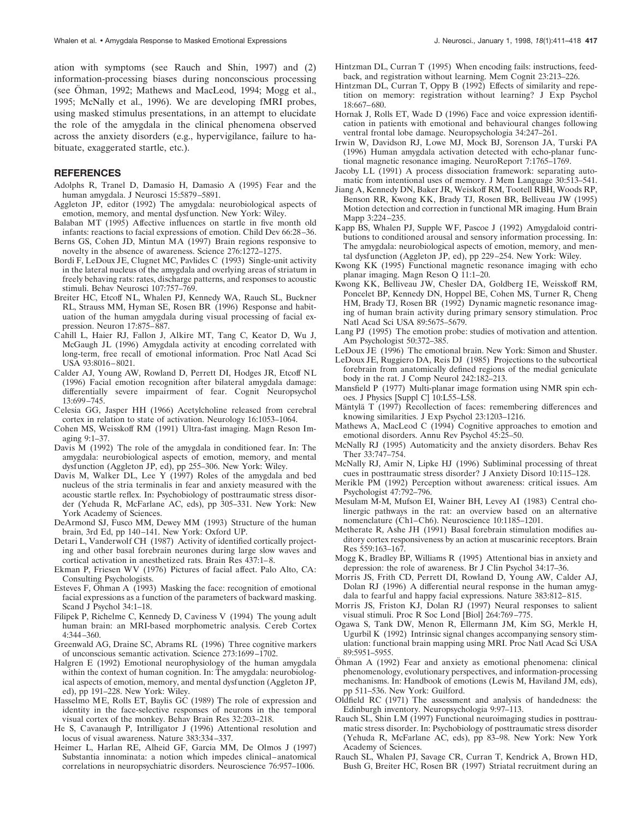ation with symptoms (see Rauch and Shin, 1997) and (2) information-processing biases during nonconscious processing (see Öhman, 1992; Mathews and MacLeod, 1994; Mogg et al., 1995; McNally et al., 1996). We are developing fMRI probes, using masked stimulus presentations, in an attempt to elucidate the role of the amygdala in the clinical phenomena observed across the anxiety disorders (e.g., hypervigilance, failure to habituate, exaggerated startle, etc.).

#### **REFERENCES**

- Adolphs R, Tranel D, Damasio H, Damasio A (1995) Fear and the human amygdala. J Neurosci 15:5879–5891.
- Aggleton JP, editor (1992) The amygdala: neurobiological aspects of emotion, memory, and mental dysfunction. New York: Wiley.
- Balaban MT (1995) Affective influences on startle in five month old infants: reactions to facial expressions of emotion. Child Dev 66:28–36.
- Berns GS, Cohen JD, Mintun MA (1997) Brain regions responsive to novelty in the absence of awareness. Science 276:1272–1275.
- Bordi F, LeDoux JE, Clugnet MC, Pavlides C (1993) Single-unit activity in the lateral nucleus of the amygdala and overlying areas of striatum in freely behaving rats: rates, discharge patterns, and responses to acoustic stimuli. Behav Neurosci 107:757–769.
- Breiter HC, Etcoff NL, Whalen PJ, Kennedy WA, Rauch SL, Buckner RL, Strauss MM, Hyman SE, Rosen BR (1996) Response and habituation of the human amygdala during visual processing of facial expression. Neuron 17:875–887.
- Cahill L, Haier RJ, Fallon J, Alkire MT, Tang C, Keator D, Wu J, McGaugh JL (1996) Amygdala activity at encoding correlated with long-term, free recall of emotional information. Proc Natl Acad Sci USA 93:8016–8021.
- Calder AJ, Young AW, Rowland D, Perrett DI, Hodges JR, Etcoff NL (1996) Facial emotion recognition after bilateral amygdala damage: differentially severe impairment of fear. Cognit Neuropsychol 13:699–745.
- Celesia GG, Jasper HH (1966) Acetylcholine released from cerebral cortex in relation to state of activation. Neurology 16:1053–1064.
- Cohen MS, Weisskoff RM (1991) Ultra-fast imaging. Magn Reson Imaging 9:1–37.
- Davis M (1992) The role of the amygdala in conditioned fear. In: The amygdala: neurobiological aspects of emotion, memory, and mental dysfunction (Aggleton JP, ed), pp 255–306. New York: Wiley.
- Davis M, Walker DL, Lee Y (1997) Roles of the amygdala and bed nucleus of the stria terminalis in fear and anxiety measured with the acoustic startle reflex. In: Psychobiology of posttraumatic stress disorder (Yehuda R, McFarlane AC, eds), pp 305–331. New York: New York Academy of Sciences.
- DeArmond SJ, Fusco MM, Dewey MM (1993) Structure of the human brain, 3rd Ed, pp 140–141. New York: Oxford UP.
- Detari L, Vanderwolf CH (1987) Activity of identified cortically projecting and other basal forebrain neurones during large slow waves and cortical activation in anesthetized rats. Brain Res 437:1–8.
- Ekman P, Friesen WV (1976) Pictures of facial affect. Palo Alto, CA: Consulting Psychologists.
- Esteves F, Öhman A (1993) Masking the face: recognition of emotional facial expressions as a function of the parameters of backward masking. Scand J Psychol 34:1–18.
- Filipek P, Richelme C, Kennedy D, Caviness V (1994) The young adult human brain: an MRI-based morphometric analysis. Cereb Cortex 4:344–360.
- Greenwald AG, Draine SC, Abrams RL (1996) Three cognitive markers of unconscious semantic activation. Science 273:1699–1702.
- Halgren E (1992) Emotional neurophysiology of the human amygdala within the context of human cognition. In: The amygdala: neurobiological aspects of emotion, memory, and mental dysfunction (Aggleton JP, ed), pp 191–228. New York: Wiley.
- Hasselmo ME, Rolls ET, Baylis GC (1989) The role of expression and identity in the face-selective responses of neurons in the temporal visual cortex of the monkey. Behav Brain Res 32:203–218.
- He S, Cavanaugh P, Intrilligator J (1996) Attentional resolution and locus of visual awareness. Nature 383:334–337.
- Heimer L, Harlan RE, Alheid GF, Garcia MM, De Olmos J (1997) Substantia innominata: a notion which impedes clinical–anatomical correlations in neuropsychiatric disorders. Neuroscience 76:957–1006.
- Hintzman DL, Curran T (1995) When encoding fails: instructions, feedback, and registration without learning. Mem Cognit 23:213–226.
- Hintzman DL, Curran T, Oppy B (1992) Effects of similarity and repetition on memory: registration without learning? J Exp Psychol 18:667–680.
- Hornak J, Rolls ET, Wade D (1996) Face and voice expression identification in patients with emotional and behavioural changes following ventral frontal lobe damage. Neuropsychologia 34:247–261.
- Irwin W, Davidson RJ, Lowe MJ, Mock BJ, Sorenson JA, Turski PA (1996) Human amygdala activation detected with echo-planar functional magnetic resonance imaging. NeuroReport 7:1765–1769.
- Jacoby LL (1991) A process dissociation framework: separating automatic from intentional uses of memory. J Mem Language 30:513–541.
- Jiang A, Kennedy DN, Baker JR, Weiskoff RM, Tootell RBH, Woods RP, Benson RR, Kwong KK, Brady TJ, Rosen BR, Belliveau JW (1995) Motion detection and correction in functional MR imaging. Hum Brain Mapp 3:224–235.
- Kapp BS, Whalen PJ, Supple WF, Pascoe J (1992) Amygdaloid contributions to conditioned arousal and sensory information processing. In: The amygdala: neurobiological aspects of emotion, memory, and mental dysfunction (Aggleton JP, ed), pp 229–254. New York: Wiley.
- Kwong KK (1995) Functional magnetic resonance imaging with echo planar imaging. Magn Reson Q 11:1–20.
- Kwong KK, Belliveau JW, Chesler DA, Goldberg IE, Weisskoff RM, Poncelet BP, Kennedy DN, Hoppel BE, Cohen MS, Turner R, Cheng HM, Brady TJ, Rosen BR (1992) Dynamic magnetic resonance imaging of human brain activity during primary sensory stimulation. Proc Natl Acad Sci USA 89:5675–5679.
- Lang PJ (1995) The emotion probe: studies of motivation and attention. Am Psychologist 50:372–385.
- LeDoux JE (1996) The emotional brain. New York: Simon and Shuster.
- LeDoux JE, Ruggiero DA, Reis DJ (1985) Projections to the subcortical forebrain from anatomically defined regions of the medial geniculate body in the rat. J Comp Neurol 242:182–213.
- Mansfield P (1977) Multi-planar image formation using NMR spin echoes. J Physics [Suppl C] 10:L55–L58.
- Mäntylä T (1997) Recollection of faces: remembering differences and knowing similarities. J Exp Psychol 23:1203–1216.
- Mathews A, MacLeod C (1994) Cognitive approaches to emotion and emotional disorders. Annu Rev Psychol 45:25–50.
- McNally RJ (1995) Automaticity and the anxiety disorders. Behav Res Ther 33:747–754.
- McNally RJ, Amir N, Lipke HJ (1996) Subliminal processing of threat cues in posttraumatic stress disorder? J Anxiety Disord 10:115–128.
- Merikle PM (1992) Perception without awareness: critical issues. Am Psychologist 47:792–796.
- Mesulam M-M, Mufson EI, Wainer BH, Levey AI (1983) Central cholinergic pathways in the rat: an overview based on an alternative nomenclature (Ch1–Ch6). Neuroscience 10:1185–1201.
- Metherate R, Ashe JH (1991) Basal forebrain stimulation modifies auditory cortex responsiveness by an action at muscarinic receptors. Brain Res 559:163–167.
- Mogg K, Bradley BP, Williams R (1995) Attentional bias in anxiety and depression: the role of awareness. Br J Clin Psychol 34:17–36.
- Morris JS, Frith CD, Perrett DI, Rowland D, Young AW, Calder AJ, Dolan RJ (1996) A differential neural response in the human amygdala to fearful and happy facial expressions. Nature 383:812–815.
- Morris JS, Friston KJ, Dolan RJ (1997) Neural responses to salient visual stimuli. Proc R Soc Lond [Biol] 264:769–775.
- Ogawa S, Tank DW, Menon R, Ellermann JM, Kim SG, Merkle H, Ugurbil K (1992) Intrinsic signal changes accompanying sensory stimulation: functional brain mapping using MRI. Proc Natl Acad Sci USA 89:5951–5955.
- Ohman A (1992) Fear and anxiety as emotional phenomena: clinical phenomenology, evolutionary perspectives, and information-processing mechanisms. In: Handbook of emotions (Lewis M, Haviland JM, eds), pp 511–536. New York: Guilford.
- Oldfield RC (1971) The assessment and analysis of handedness: the Edinburgh inventory. Neuropsychologia 9:97–113.
- Rauch SL, Shin LM (1997) Functional neuroimaging studies in posttraumatic stress disorder. In: Psychobiology of posttraumatic stress disorder (Yehuda R, McFarlane AC, eds), pp 83–98. New York: New York Academy of Sciences.
- Rauch SL, Whalen PJ, Savage CR, Curran T, Kendrick A, Brown HD, Bush G, Breiter HC, Rosen BR (1997) Striatal recruitment during an